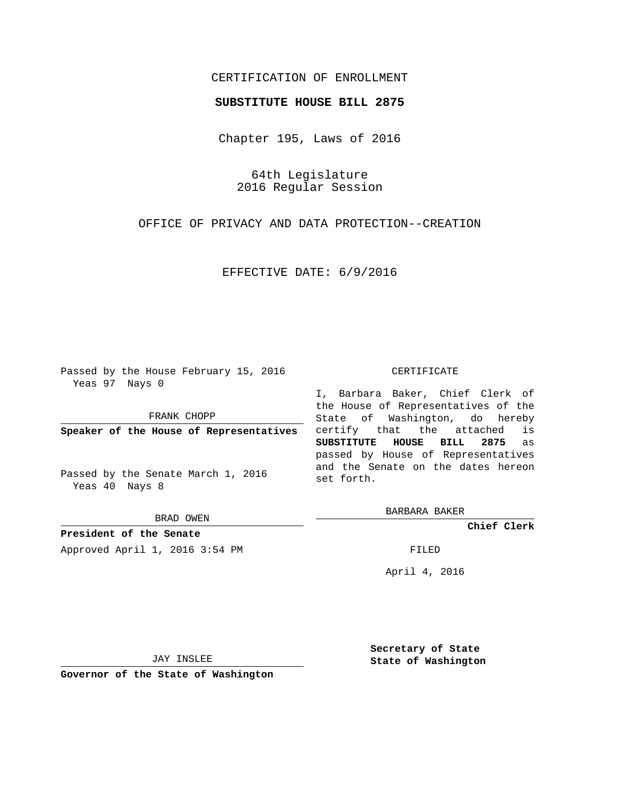## CERTIFICATION OF ENROLLMENT

## **SUBSTITUTE HOUSE BILL 2875**

Chapter 195, Laws of 2016

64th Legislature 2016 Regular Session

OFFICE OF PRIVACY AND DATA PROTECTION--CREATION

EFFECTIVE DATE: 6/9/2016

Passed by the House February 15, 2016 Yeas 97 Nays 0

FRANK CHOPP

**Speaker of the House of Representatives**

Passed by the Senate March 1, 2016 Yeas 40 Nays 8

BRAD OWEN

**President of the Senate**

Approved April 1, 2016 3:54 PM FILED

## CERTIFICATE

I, Barbara Baker, Chief Clerk of the House of Representatives of the State of Washington, do hereby certify that the attached is **SUBSTITUTE HOUSE BILL 2875** as passed by House of Representatives and the Senate on the dates hereon set forth.

BARBARA BAKER

**Chief Clerk**

April 4, 2016

JAY INSLEE

**Governor of the State of Washington**

**Secretary of State State of Washington**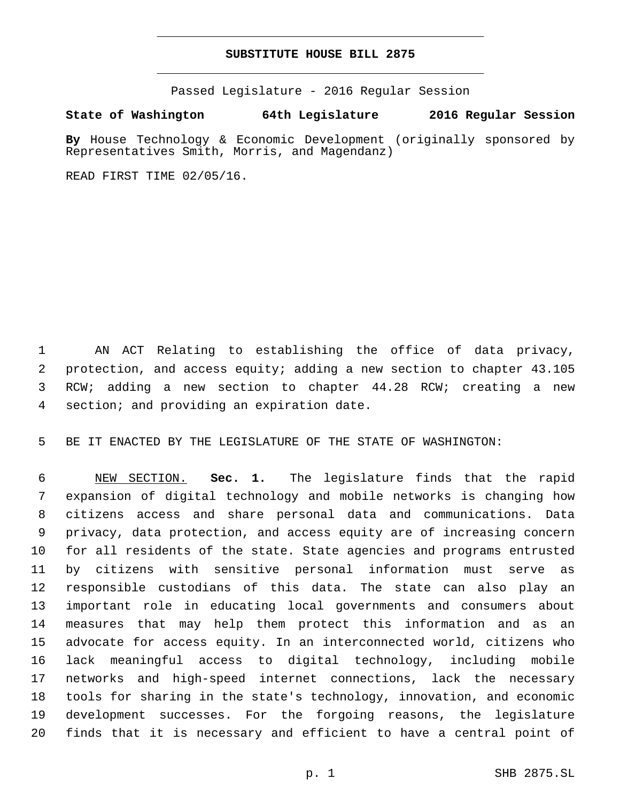## **SUBSTITUTE HOUSE BILL 2875**

Passed Legislature - 2016 Regular Session

**State of Washington 64th Legislature 2016 Regular Session**

**By** House Technology & Economic Development (originally sponsored by Representatives Smith, Morris, and Magendanz)

READ FIRST TIME 02/05/16.

 AN ACT Relating to establishing the office of data privacy, protection, and access equity; adding a new section to chapter 43.105 RCW; adding a new section to chapter 44.28 RCW; creating a new 4 section; and providing an expiration date.

BE IT ENACTED BY THE LEGISLATURE OF THE STATE OF WASHINGTON:

 NEW SECTION. **Sec. 1.** The legislature finds that the rapid expansion of digital technology and mobile networks is changing how citizens access and share personal data and communications. Data privacy, data protection, and access equity are of increasing concern for all residents of the state. State agencies and programs entrusted by citizens with sensitive personal information must serve as responsible custodians of this data. The state can also play an important role in educating local governments and consumers about measures that may help them protect this information and as an advocate for access equity. In an interconnected world, citizens who lack meaningful access to digital technology, including mobile networks and high-speed internet connections, lack the necessary tools for sharing in the state's technology, innovation, and economic development successes. For the forgoing reasons, the legislature finds that it is necessary and efficient to have a central point of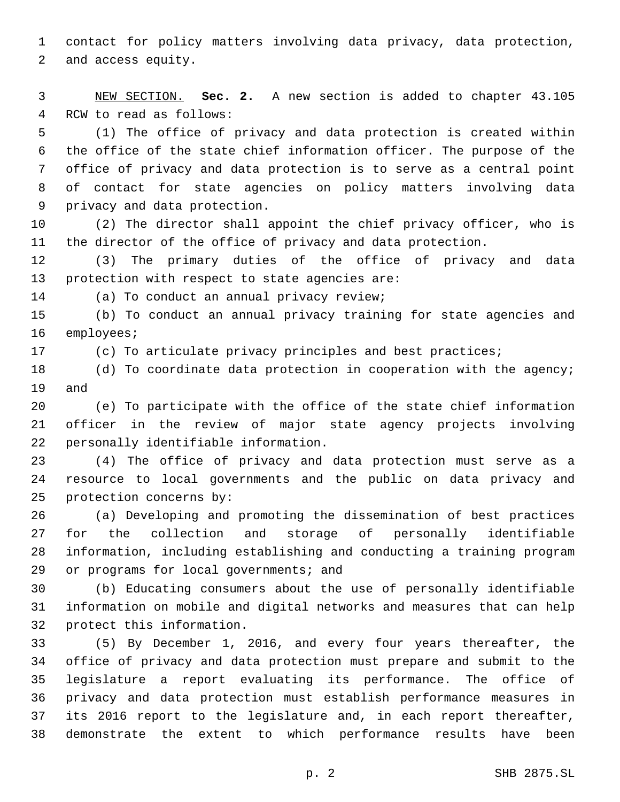contact for policy matters involving data privacy, data protection, 2 and access equity.

 NEW SECTION. **Sec. 2.** A new section is added to chapter 43.105 4 RCW to read as follows:

 (1) The office of privacy and data protection is created within the office of the state chief information officer. The purpose of the office of privacy and data protection is to serve as a central point of contact for state agencies on policy matters involving data 9 privacy and data protection.

 (2) The director shall appoint the chief privacy officer, who is the director of the office of privacy and data protection.

 (3) The primary duties of the office of privacy and data 13 protection with respect to state agencies are:

14 (a) To conduct an annual privacy review;

 (b) To conduct an annual privacy training for state agencies and 16 employees;

(c) To articulate privacy principles and best practices;

18 (d) To coordinate data protection in cooperation with the agency; 19 and

 (e) To participate with the office of the state chief information officer in the review of major state agency projects involving 22 personally identifiable information.

 (4) The office of privacy and data protection must serve as a resource to local governments and the public on data privacy and 25 protection concerns by:

 (a) Developing and promoting the dissemination of best practices for the collection and storage of personally identifiable information, including establishing and conducting a training program 29 or programs for local governments; and

 (b) Educating consumers about the use of personally identifiable information on mobile and digital networks and measures that can help 32 protect this information.

 (5) By December 1, 2016, and every four years thereafter, the office of privacy and data protection must prepare and submit to the legislature a report evaluating its performance. The office of privacy and data protection must establish performance measures in its 2016 report to the legislature and, in each report thereafter, demonstrate the extent to which performance results have been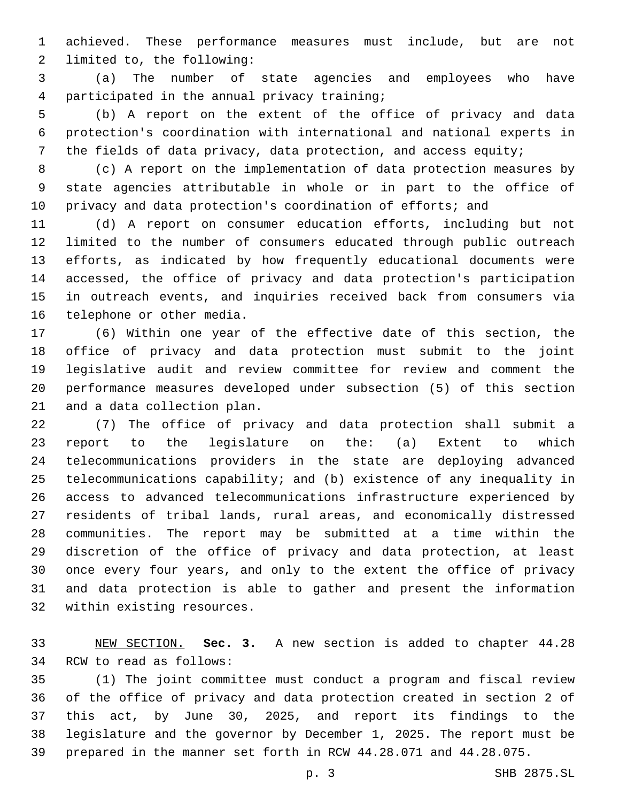achieved. These performance measures must include, but are not 2 limited to, the following:

 (a) The number of state agencies and employees who have participated in the annual privacy training;4

 (b) A report on the extent of the office of privacy and data protection's coordination with international and national experts in the fields of data privacy, data protection, and access equity;

 (c) A report on the implementation of data protection measures by state agencies attributable in whole or in part to the office of privacy and data protection's coordination of efforts; and

 (d) A report on consumer education efforts, including but not limited to the number of consumers educated through public outreach efforts, as indicated by how frequently educational documents were accessed, the office of privacy and data protection's participation in outreach events, and inquiries received back from consumers via 16 telephone or other media.

 (6) Within one year of the effective date of this section, the office of privacy and data protection must submit to the joint legislative audit and review committee for review and comment the performance measures developed under subsection (5) of this section 21 and a data collection plan.

 (7) The office of privacy and data protection shall submit a report to the legislature on the: (a) Extent to which telecommunications providers in the state are deploying advanced telecommunications capability; and (b) existence of any inequality in access to advanced telecommunications infrastructure experienced by residents of tribal lands, rural areas, and economically distressed communities. The report may be submitted at a time within the discretion of the office of privacy and data protection, at least once every four years, and only to the extent the office of privacy and data protection is able to gather and present the information 32 within existing resources.

 NEW SECTION. **Sec. 3.** A new section is added to chapter 44.28 34 RCW to read as follows:

 (1) The joint committee must conduct a program and fiscal review of the office of privacy and data protection created in section 2 of this act, by June 30, 2025, and report its findings to the legislature and the governor by December 1, 2025. The report must be prepared in the manner set forth in RCW 44.28.071 and 44.28.075.